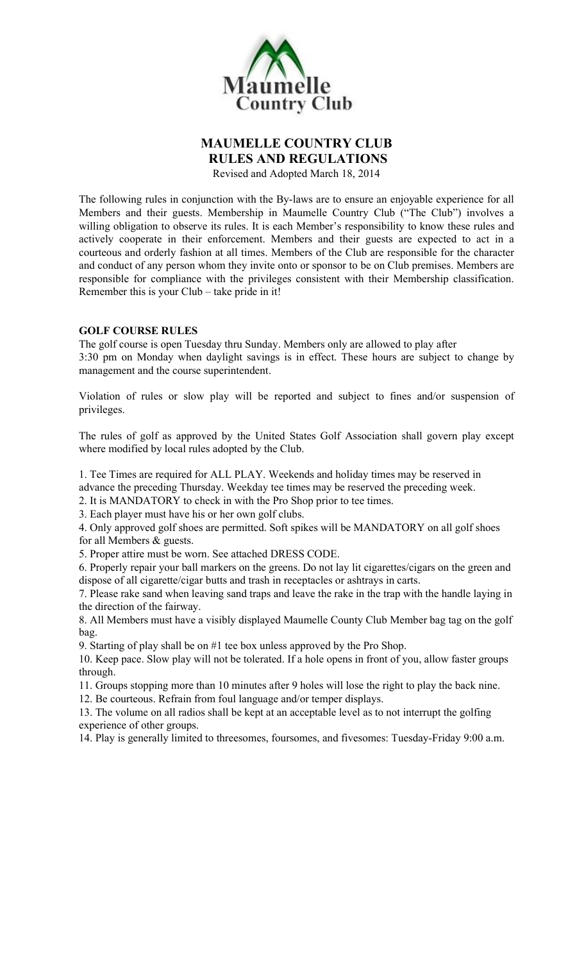

### MAUMELLE COUNTRY CLUB RULES AND REGULATIONS

Revised and Adopted March 18, 2014

The following rules in conjunction with the By-laws are to ensure an enjoyable experience for all Members and their guests. Membership in Maumelle Country Club ("The Club") involves a willing obligation to observe its rules. It is each Member's responsibility to know these rules and actively cooperate in their enforcement. Members and their guests are expected to act in a courteous and orderly fashion at all times. Members of the Club are responsible for the character and conduct of any person whom they invite onto or sponsor to be on Club premises. Members are responsible for compliance with the privileges consistent with their Membership classification. Remember this is your Club – take pride in it!

### GOLF COURSE RULES

The golf course is open Tuesday thru Sunday. Members only are allowed to play after 3:30 pm on Monday when daylight savings is in effect. These hours are subject to change by management and the course superintendent.

Violation of rules or slow play will be reported and subject to fines and/or suspension of privileges.

The rules of golf as approved by the United States Golf Association shall govern play except where modified by local rules adopted by the Club.

1. Tee Times are required for ALL PLAY. Weekends and holiday times may be reserved in advance the preceding Thursday. Weekday tee times may be reserved the preceding week.

2. It is MANDATORY to check in with the Pro Shop prior to tee times.

3. Each player must have his or her own golf clubs.

4. Only approved golf shoes are permitted. Soft spikes will be MANDATORY on all golf shoes for all Members & guests.

5. Proper attire must be worn. See attached DRESS CODE.

6. Properly repair your ball markers on the greens. Do not lay lit cigarettes/cigars on the green and dispose of all cigarette/cigar butts and trash in receptacles or ashtrays in carts.

7. Please rake sand when leaving sand traps and leave the rake in the trap with the handle laying in the direction of the fairway.

8. All Members must have a visibly displayed Maumelle County Club Member bag tag on the golf bag.

9. Starting of play shall be on #1 tee box unless approved by the Pro Shop.

10. Keep pace. Slow play will not be tolerated. If a hole opens in front of you, allow faster groups through.

11. Groups stopping more than 10 minutes after 9 holes will lose the right to play the back nine.

12. Be courteous. Refrain from foul language and/or temper displays.

13. The volume on all radios shall be kept at an acceptable level as to not interrupt the golfing experience of other groups.

14. Play is generally limited to threesomes, foursomes, and fivesomes: Tuesday-Friday 9:00 a.m.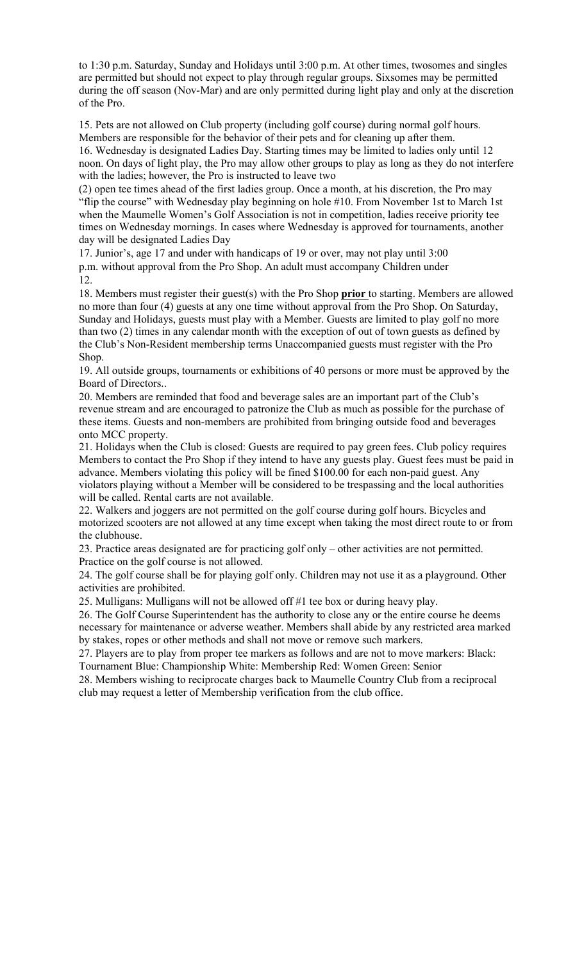to 1:30 p.m. Saturday, Sunday and Holidays until 3:00 p.m. At other times, twosomes and singles are permitted but should not expect to play through regular groups. Sixsomes may be permitted during the off season (Nov-Mar) and are only permitted during light play and only at the discretion of the Pro.

15. Pets are not allowed on Club property (including golf course) during normal golf hours. Members are responsible for the behavior of their pets and for cleaning up after them. 16. Wednesday is designated Ladies Day. Starting times may be limited to ladies only until 12

noon. On days of light play, the Pro may allow other groups to play as long as they do not interfere with the ladies; however, the Pro is instructed to leave two

(2) open tee times ahead of the first ladies group. Once a month, at his discretion, the Pro may "flip the course" with Wednesday play beginning on hole #10. From November 1st to March 1st when the Maumelle Women's Golf Association is not in competition, ladies receive priority tee times on Wednesday mornings. In cases where Wednesday is approved for tournaments, another day will be designated Ladies Day

17. Junior's, age 17 and under with handicaps of 19 or over, may not play until 3:00 p.m. without approval from the Pro Shop. An adult must accompany Children under 12.

18. Members must register their guest(s) with the Pro Shop **prior** to starting. Members are allowed no more than four (4) guests at any one time without approval from the Pro Shop. On Saturday, Sunday and Holidays, guests must play with a Member. Guests are limited to play golf no more than two (2) times in any calendar month with the exception of out of town guests as defined by the Club's Non-Resident membership terms Unaccompanied guests must register with the Pro Shop.

19. All outside groups, tournaments or exhibitions of 40 persons or more must be approved by the Board of Directors..

20. Members are reminded that food and beverage sales are an important part of the Club's revenue stream and are encouraged to patronize the Club as much as possible for the purchase of these items. Guests and non-members are prohibited from bringing outside food and beverages onto MCC property.

21. Holidays when the Club is closed: Guests are required to pay green fees. Club policy requires Members to contact the Pro Shop if they intend to have any guests play. Guest fees must be paid in advance. Members violating this policy will be fined \$100.00 for each non-paid guest. Any violators playing without a Member will be considered to be trespassing and the local authorities will be called. Rental carts are not available.

22. Walkers and joggers are not permitted on the golf course during golf hours. Bicycles and motorized scooters are not allowed at any time except when taking the most direct route to or from the clubhouse.

23. Practice areas designated are for practicing golf only – other activities are not permitted. Practice on the golf course is not allowed.

24. The golf course shall be for playing golf only. Children may not use it as a playground. Other activities are prohibited.

25. Mulligans: Mulligans will not be allowed off #1 tee box or during heavy play.

26. The Golf Course Superintendent has the authority to close any or the entire course he deems necessary for maintenance or adverse weather. Members shall abide by any restricted area marked by stakes, ropes or other methods and shall not move or remove such markers.

27. Players are to play from proper tee markers as follows and are not to move markers: Black: Tournament Blue: Championship White: Membership Red: Women Green: Senior

28. Members wishing to reciprocate charges back to Maumelle Country Club from a reciprocal club may request a letter of Membership verification from the club office.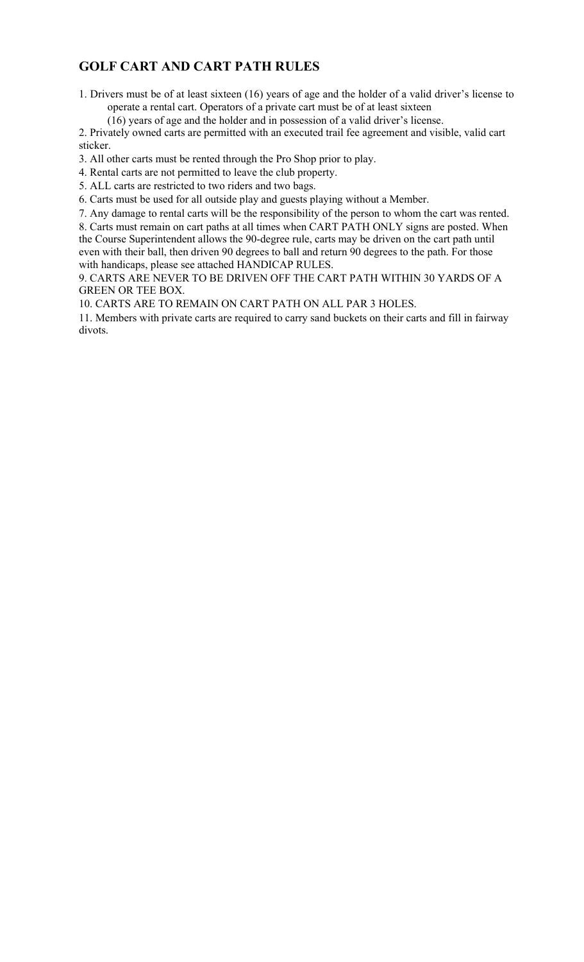# GOLF CART AND CART PATH RULES

1. Drivers must be of at least sixteen (16) years of age and the holder of a valid driver's license to operate a rental cart. Operators of a private cart must be of at least sixteen

(16) years of age and the holder and in possession of a valid driver's license.

2. Privately owned carts are permitted with an executed trail fee agreement and visible, valid cart sticker.

3. All other carts must be rented through the Pro Shop prior to play.

4. Rental carts are not permitted to leave the club property.

5. ALL carts are restricted to two riders and two bags.

6. Carts must be used for all outside play and guests playing without a Member.

7. Any damage to rental carts will be the responsibility of the person to whom the cart was rented.

8. Carts must remain on cart paths at all times when CART PATH ONLY signs are posted. When the Course Superintendent allows the 90-degree rule, carts may be driven on the cart path until even with their ball, then driven 90 degrees to ball and return 90 degrees to the path. For those with handicaps, please see attached HANDICAP RULES.

9. CARTS ARE NEVER TO BE DRIVEN OFF THE CART PATH WITHIN 30 YARDS OF A GREEN OR TEE BOX.

10. CARTS ARE TO REMAIN ON CART PATH ON ALL PAR 3 HOLES.

11. Members with private carts are required to carry sand buckets on their carts and fill in fairway divots.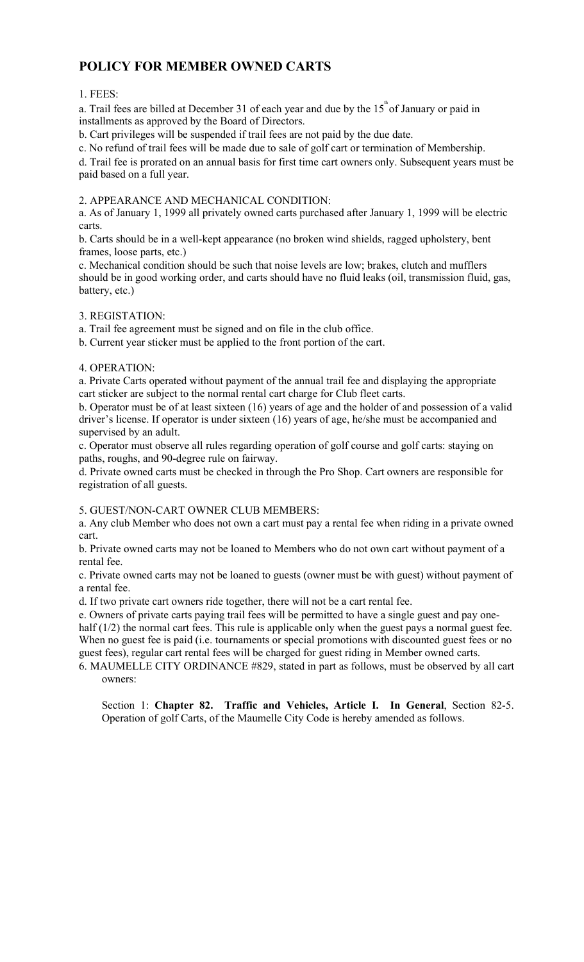# POLICY FOR MEMBER OWNED CARTS

### 1. FEES:

a. Trail fees are billed at December 31 of each year and due by the  $15^{^{\text{th}}}$  of January or paid in installments as approved by the Board of Directors.

b. Cart privileges will be suspended if trail fees are not paid by the due date.

c. No refund of trail fees will be made due to sale of golf cart or termination of Membership.

d. Trail fee is prorated on an annual basis for first time cart owners only. Subsequent years must be paid based on a full year.

### 2. APPEARANCE AND MECHANICAL CONDITION:

a. As of January 1, 1999 all privately owned carts purchased after January 1, 1999 will be electric carts.

b. Carts should be in a well-kept appearance (no broken wind shields, ragged upholstery, bent frames, loose parts, etc.)

c. Mechanical condition should be such that noise levels are low; brakes, clutch and mufflers should be in good working order, and carts should have no fluid leaks (oil, transmission fluid, gas, battery, etc.)

### 3. REGISTATION:

a. Trail fee agreement must be signed and on file in the club office.

b. Current year sticker must be applied to the front portion of the cart.

### 4. OPERATION:

a. Private Carts operated without payment of the annual trail fee and displaying the appropriate cart sticker are subject to the normal rental cart charge for Club fleet carts.

b. Operator must be of at least sixteen (16) years of age and the holder of and possession of a valid driver's license. If operator is under sixteen (16) years of age, he/she must be accompanied and supervised by an adult.

c. Operator must observe all rules regarding operation of golf course and golf carts: staying on paths, roughs, and 90-degree rule on fairway.

d. Private owned carts must be checked in through the Pro Shop. Cart owners are responsible for registration of all guests.

5. GUEST/NON-CART OWNER CLUB MEMBERS:

a. Any club Member who does not own a cart must pay a rental fee when riding in a private owned cart.

b. Private owned carts may not be loaned to Members who do not own cart without payment of a rental fee.

c. Private owned carts may not be loaned to guests (owner must be with guest) without payment of a rental fee.

d. If two private cart owners ride together, there will not be a cart rental fee.

e. Owners of private carts paying trail fees will be permitted to have a single guest and pay onehalf (1/2) the normal cart fees. This rule is applicable only when the guest pays a normal guest fee. When no guest fee is paid (i.e. tournaments or special promotions with discounted guest fees or no guest fees), regular cart rental fees will be charged for guest riding in Member owned carts.

6. MAUMELLE CITY ORDINANCE #829, stated in part as follows, must be observed by all cart owners:

Section 1: Chapter 82. Traffic and Vehicles, Article I. In General, Section 82-5. Operation of golf Carts, of the Maumelle City Code is hereby amended as follows.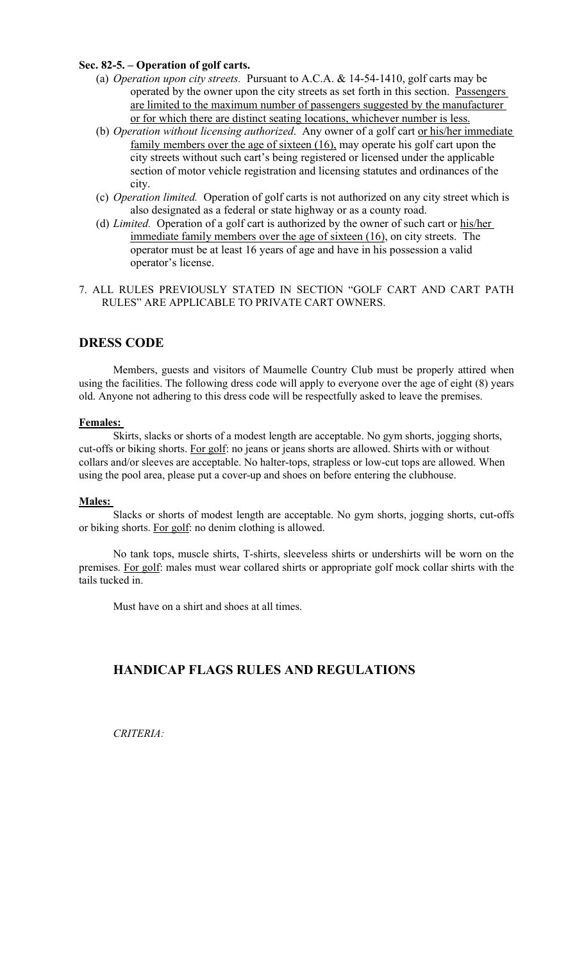### Sec. 82-5. – Operation of golf carts.

- (a) Operation upon city streets. Pursuant to A.C.A. & 14-54-1410, golf carts may be operated by the owner upon the city streets as set forth in this section. Passengers are limited to the maximum number of passengers suggested by the manufacturer or for which there are distinct seating locations, whichever number is less.
- (b) Operation without licensing authorized. Any owner of a golf cart or his/her immediate family members over the age of sixteen (16), may operate his golf cart upon the city streets without such cart's being registered or licensed under the applicable section of motor vehicle registration and licensing statutes and ordinances of the city.
- (c) Operation limited. Operation of golf carts is not authorized on any city street which is also designated as a federal or state highway or as a county road.
- (d) Limited. Operation of a golf cart is authorized by the owner of such cart or  $his/her$ immediate family members over the age of sixteen (16), on city streets. The operator must be at least 16 years of age and have in his possession a valid operator's license.
- 7. ALL RULES PREVIOUSLY STATED IN SECTION "GOLF CART AND CART PATH RULES" ARE APPLICABLE TO PRIVATE CART OWNERS.

### DRESS CODE

Members, guests and visitors of Maumelle Country Club must be properly attired when using the facilities. The following dress code will apply to everyone over the age of eight (8) years old. Anyone not adhering to this dress code will be respectfully asked to leave the premises.

#### Females:

Skirts, slacks or shorts of a modest length are acceptable. No gym shorts, jogging shorts, cut-offs or biking shorts. For golf: no jeans or jeans shorts are allowed. Shirts with or without collars and/or sleeves are acceptable. No halter-tops, strapless or low-cut tops are allowed. When using the pool area, please put a cover-up and shoes on before entering the clubhouse.

#### Males:

Slacks or shorts of modest length are acceptable. No gym shorts, jogging shorts, cut-offs or biking shorts. For golf: no denim clothing is allowed.

No tank tops, muscle shirts, T-shirts, sleeveless shirts or undershirts will be worn on the premises. For golf: males must wear collared shirts or appropriate golf mock collar shirts with the tails tucked in.

Must have on a shirt and shoes at all times.

### HANDICAP FLAGS RULES AND REGULATIONS

CRITERIA: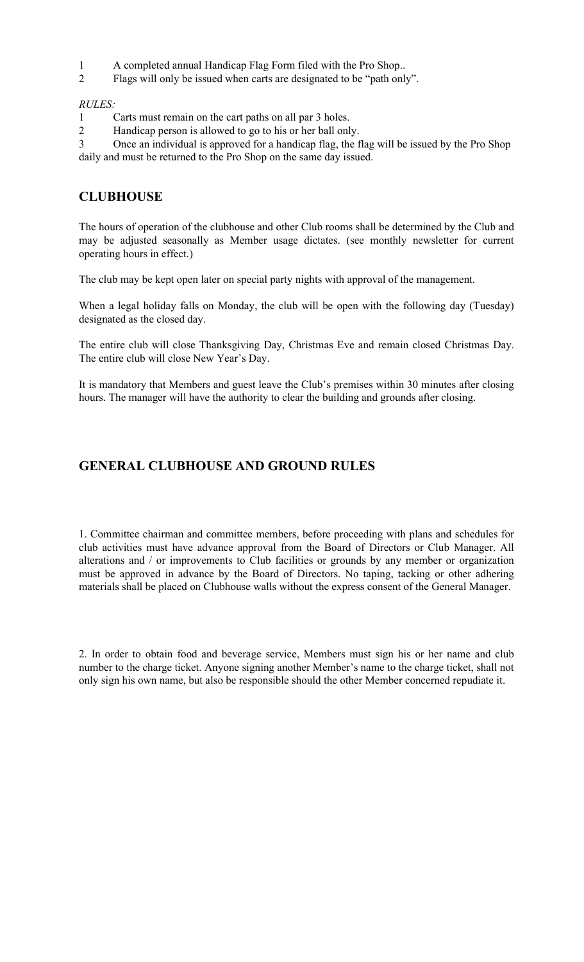- 1 A completed annual Handicap Flag Form filed with the Pro Shop..
- 2 Flags will only be issued when carts are designated to be "path only".

### RULES:

- 1 Carts must remain on the cart paths on all par 3 holes.
- 2 Handicap person is allowed to go to his or her ball only.

3 Once an individual is approved for a handicap flag, the flag will be issued by the Pro Shop daily and must be returned to the Pro Shop on the same day issued.

# **CLUBHOUSE**

The hours of operation of the clubhouse and other Club rooms shall be determined by the Club and may be adjusted seasonally as Member usage dictates. (see monthly newsletter for current operating hours in effect.)

The club may be kept open later on special party nights with approval of the management.

When a legal holiday falls on Monday, the club will be open with the following day (Tuesday) designated as the closed day.

The entire club will close Thanksgiving Day, Christmas Eve and remain closed Christmas Day. The entire club will close New Year's Day.

It is mandatory that Members and guest leave the Club's premises within 30 minutes after closing hours. The manager will have the authority to clear the building and grounds after closing.

## GENERAL CLUBHOUSE AND GROUND RULES

1. Committee chairman and committee members, before proceeding with plans and schedules for club activities must have advance approval from the Board of Directors or Club Manager. All alterations and / or improvements to Club facilities or grounds by any member or organization must be approved in advance by the Board of Directors. No taping, tacking or other adhering materials shall be placed on Clubhouse walls without the express consent of the General Manager.

2. In order to obtain food and beverage service, Members must sign his or her name and club number to the charge ticket. Anyone signing another Member's name to the charge ticket, shall not only sign his own name, but also be responsible should the other Member concerned repudiate it.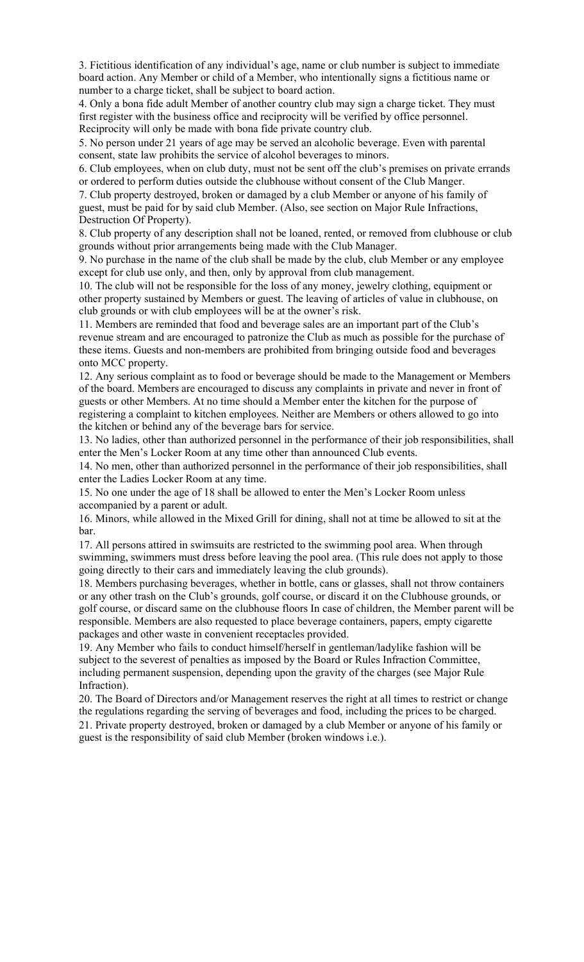3. Fictitious identification of any individual's age, name or club number is subject to immediate board action. Any Member or child of a Member, who intentionally signs a fictitious name or number to a charge ticket, shall be subject to board action.

4. Only a bona fide adult Member of another country club may sign a charge ticket. They must first register with the business office and reciprocity will be verified by office personnel. Reciprocity will only be made with bona fide private country club.

5. No person under 21 years of age may be served an alcoholic beverage. Even with parental consent, state law prohibits the service of alcohol beverages to minors.

6. Club employees, when on club duty, must not be sent off the club's premises on private errands or ordered to perform duties outside the clubhouse without consent of the Club Manger.

7. Club property destroyed, broken or damaged by a club Member or anyone of his family of guest, must be paid for by said club Member. (Also, see section on Major Rule Infractions, Destruction Of Property).

8. Club property of any description shall not be loaned, rented, or removed from clubhouse or club grounds without prior arrangements being made with the Club Manager.

9. No purchase in the name of the club shall be made by the club, club Member or any employee except for club use only, and then, only by approval from club management.

10. The club will not be responsible for the loss of any money, jewelry clothing, equipment or other property sustained by Members or guest. The leaving of articles of value in clubhouse, on club grounds or with club employees will be at the owner's risk.

11. Members are reminded that food and beverage sales are an important part of the Club's revenue stream and are encouraged to patronize the Club as much as possible for the purchase of these items. Guests and non-members are prohibited from bringing outside food and beverages onto MCC property.

12. Any serious complaint as to food or beverage should be made to the Management or Members of the board. Members are encouraged to discuss any complaints in private and never in front of guests or other Members. At no time should a Member enter the kitchen for the purpose of registering a complaint to kitchen employees. Neither are Members or others allowed to go into the kitchen or behind any of the beverage bars for service.

13. No ladies, other than authorized personnel in the performance of their job responsibilities, shall enter the Men's Locker Room at any time other than announced Club events.

14. No men, other than authorized personnel in the performance of their job responsibilities, shall enter the Ladies Locker Room at any time.

15. No one under the age of 18 shall be allowed to enter the Men's Locker Room unless accompanied by a parent or adult.

16. Minors, while allowed in the Mixed Grill for dining, shall not at time be allowed to sit at the bar.

17. All persons attired in swimsuits are restricted to the swimming pool area. When through swimming, swimmers must dress before leaving the pool area. (This rule does not apply to those going directly to their cars and immediately leaving the club grounds).

18. Members purchasing beverages, whether in bottle, cans or glasses, shall not throw containers or any other trash on the Club's grounds, golf course, or discard it on the Clubhouse grounds, or golf course, or discard same on the clubhouse floors In case of children, the Member parent will be responsible. Members are also requested to place beverage containers, papers, empty cigarette packages and other waste in convenient receptacles provided.

19. Any Member who fails to conduct himself/herself in gentleman/ladylike fashion will be subject to the severest of penalties as imposed by the Board or Rules Infraction Committee, including permanent suspension, depending upon the gravity of the charges (see Major Rule Infraction).

20. The Board of Directors and/or Management reserves the right at all times to restrict or change the regulations regarding the serving of beverages and food, including the prices to be charged. 21. Private property destroyed, broken or damaged by a club Member or anyone of his family or

guest is the responsibility of said club Member (broken windows i.e.).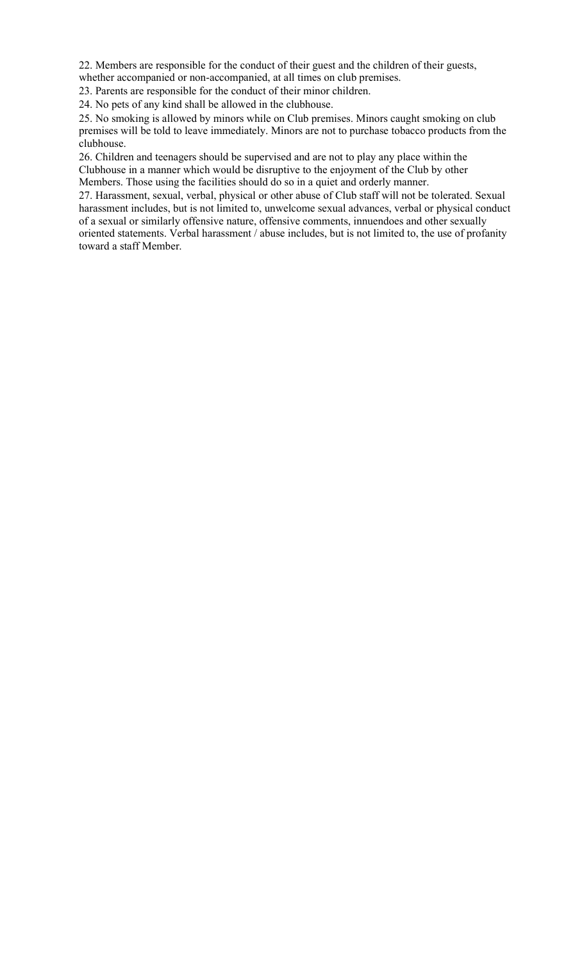22. Members are responsible for the conduct of their guest and the children of their guests,

whether accompanied or non-accompanied, at all times on club premises.

23. Parents are responsible for the conduct of their minor children.

24. No pets of any kind shall be allowed in the clubhouse.

25. No smoking is allowed by minors while on Club premises. Minors caught smoking on club premises will be told to leave immediately. Minors are not to purchase tobacco products from the clubhouse.

26. Children and teenagers should be supervised and are not to play any place within the Clubhouse in a manner which would be disruptive to the enjoyment of the Club by other Members. Those using the facilities should do so in a quiet and orderly manner.

27. Harassment, sexual, verbal, physical or other abuse of Club staff will not be tolerated. Sexual harassment includes, but is not limited to, unwelcome sexual advances, verbal or physical conduct of a sexual or similarly offensive nature, offensive comments, innuendoes and other sexually oriented statements. Verbal harassment / abuse includes, but is not limited to, the use of profanity toward a staff Member.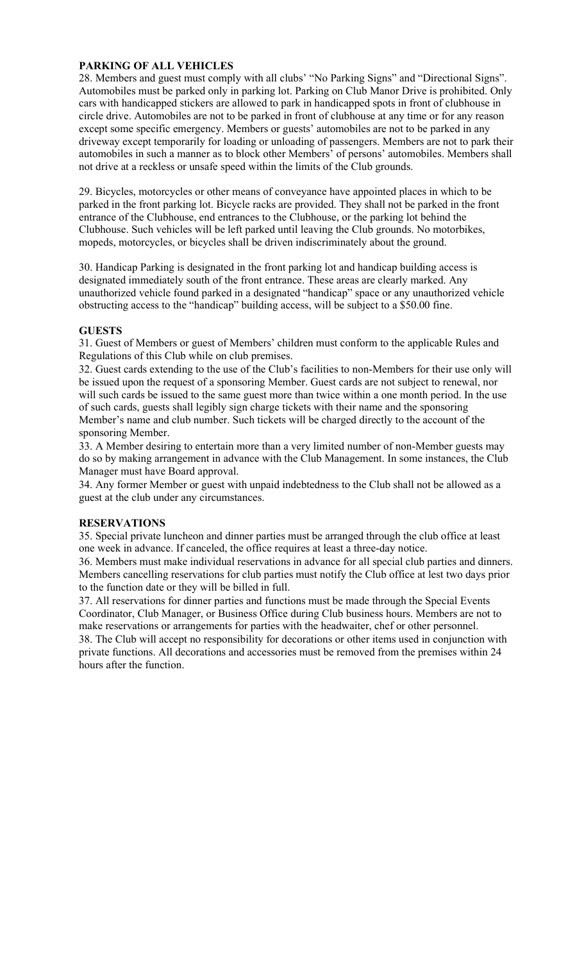### PARKING OF ALL VEHICLES

28. Members and guest must comply with all clubs' "No Parking Signs" and "Directional Signs". Automobiles must be parked only in parking lot. Parking on Club Manor Drive is prohibited. Only cars with handicapped stickers are allowed to park in handicapped spots in front of clubhouse in circle drive. Automobiles are not to be parked in front of clubhouse at any time or for any reason except some specific emergency. Members or guests' automobiles are not to be parked in any driveway except temporarily for loading or unloading of passengers. Members are not to park their automobiles in such a manner as to block other Members' of persons' automobiles. Members shall not drive at a reckless or unsafe speed within the limits of the Club grounds.

29. Bicycles, motorcycles or other means of conveyance have appointed places in which to be parked in the front parking lot. Bicycle racks are provided. They shall not be parked in the front entrance of the Clubhouse, end entrances to the Clubhouse, or the parking lot behind the Clubhouse. Such vehicles will be left parked until leaving the Club grounds. No motorbikes, mopeds, motorcycles, or bicycles shall be driven indiscriminately about the ground.

30. Handicap Parking is designated in the front parking lot and handicap building access is designated immediately south of the front entrance. These areas are clearly marked. Any unauthorized vehicle found parked in a designated "handicap" space or any unauthorized vehicle obstructing access to the "handicap" building access, will be subject to a \$50.00 fine.

### **GUESTS**

31. Guest of Members or guest of Members' children must conform to the applicable Rules and Regulations of this Club while on club premises.

32. Guest cards extending to the use of the Club's facilities to non-Members for their use only will be issued upon the request of a sponsoring Member. Guest cards are not subject to renewal, nor will such cards be issued to the same guest more than twice within a one month period. In the use of such cards, guests shall legibly sign charge tickets with their name and the sponsoring Member's name and club number. Such tickets will be charged directly to the account of the sponsoring Member.

33. A Member desiring to entertain more than a very limited number of non-Member guests may do so by making arrangement in advance with the Club Management. In some instances, the Club Manager must have Board approval.

34. Any former Member or guest with unpaid indebtedness to the Club shall not be allowed as a guest at the club under any circumstances.

### RESERVATIONS

35. Special private luncheon and dinner parties must be arranged through the club office at least one week in advance. If canceled, the office requires at least a three-day notice.

36. Members must make individual reservations in advance for all special club parties and dinners. Members cancelling reservations for club parties must notify the Club office at lest two days prior to the function date or they will be billed in full.

37. All reservations for dinner parties and functions must be made through the Special Events Coordinator, Club Manager, or Business Office during Club business hours. Members are not to make reservations or arrangements for parties with the headwaiter, chef or other personnel. 38. The Club will accept no responsibility for decorations or other items used in conjunction with private functions. All decorations and accessories must be removed from the premises within 24 hours after the function.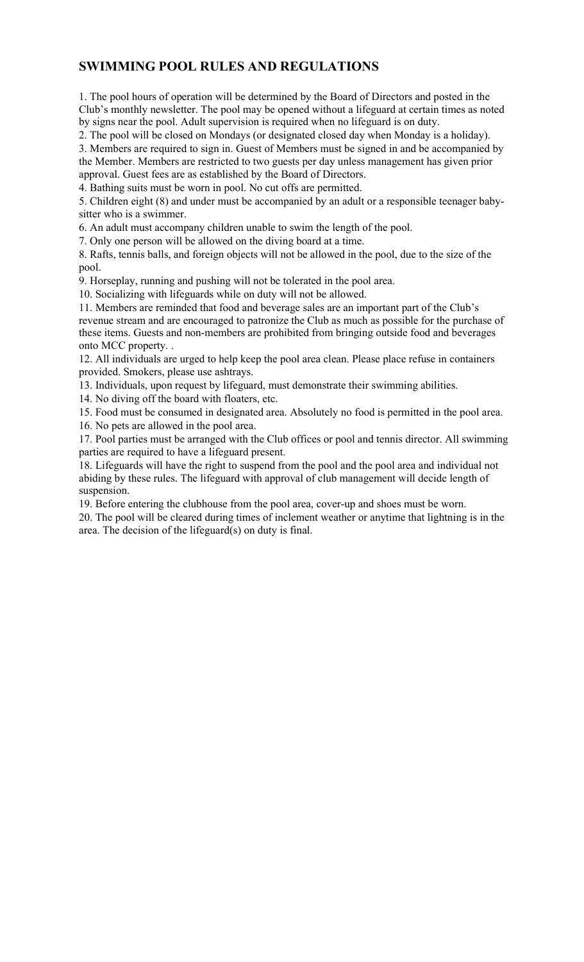## SWIMMING POOL RULES AND REGULATIONS

1. The pool hours of operation will be determined by the Board of Directors and posted in the Club's monthly newsletter. The pool may be opened without a lifeguard at certain times as noted by signs near the pool. Adult supervision is required when no lifeguard is on duty.

2. The pool will be closed on Mondays (or designated closed day when Monday is a holiday).

3. Members are required to sign in. Guest of Members must be signed in and be accompanied by the Member. Members are restricted to two guests per day unless management has given prior approval. Guest fees are as established by the Board of Directors.

4. Bathing suits must be worn in pool. No cut offs are permitted.

5. Children eight (8) and under must be accompanied by an adult or a responsible teenager babysitter who is a swimmer.

6. An adult must accompany children unable to swim the length of the pool.

7. Only one person will be allowed on the diving board at a time.

8. Rafts, tennis balls, and foreign objects will not be allowed in the pool, due to the size of the pool.

9. Horseplay, running and pushing will not be tolerated in the pool area.

10. Socializing with lifeguards while on duty will not be allowed.

11. Members are reminded that food and beverage sales are an important part of the Club's revenue stream and are encouraged to patronize the Club as much as possible for the purchase of these items. Guests and non-members are prohibited from bringing outside food and beverages onto MCC property. .

12. All individuals are urged to help keep the pool area clean. Please place refuse in containers provided. Smokers, please use ashtrays.

13. Individuals, upon request by lifeguard, must demonstrate their swimming abilities.

14. No diving off the board with floaters, etc.

15. Food must be consumed in designated area. Absolutely no food is permitted in the pool area.

16. No pets are allowed in the pool area.

17. Pool parties must be arranged with the Club offices or pool and tennis director. All swimming parties are required to have a lifeguard present.

18. Lifeguards will have the right to suspend from the pool and the pool area and individual not abiding by these rules. The lifeguard with approval of club management will decide length of suspension.

19. Before entering the clubhouse from the pool area, cover-up and shoes must be worn.

20. The pool will be cleared during times of inclement weather or anytime that lightning is in the area. The decision of the lifeguard(s) on duty is final.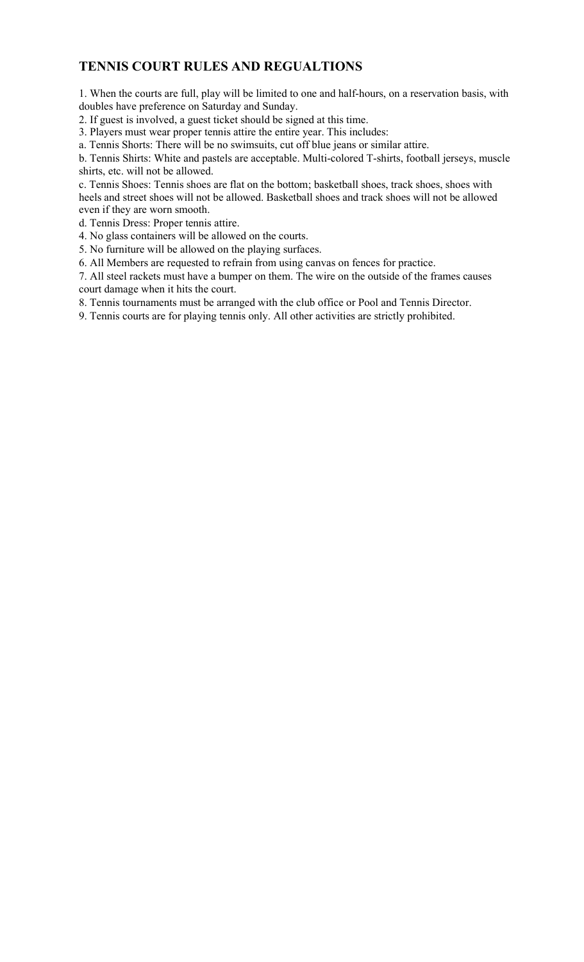## TENNIS COURT RULES AND REGUALTIONS

1. When the courts are full, play will be limited to one and half-hours, on a reservation basis, with doubles have preference on Saturday and Sunday.

2. If guest is involved, a guest ticket should be signed at this time.

3. Players must wear proper tennis attire the entire year. This includes:

a. Tennis Shorts: There will be no swimsuits, cut off blue jeans or similar attire.

b. Tennis Shirts: White and pastels are acceptable. Multi-colored T-shirts, football jerseys, muscle shirts, etc. will not be allowed.

c. Tennis Shoes: Tennis shoes are flat on the bottom; basketball shoes, track shoes, shoes with heels and street shoes will not be allowed. Basketball shoes and track shoes will not be allowed even if they are worn smooth.

d. Tennis Dress: Proper tennis attire.

4. No glass containers will be allowed on the courts.

5. No furniture will be allowed on the playing surfaces.

6. All Members are requested to refrain from using canvas on fences for practice.

7. All steel rackets must have a bumper on them. The wire on the outside of the frames causes court damage when it hits the court.

8. Tennis tournaments must be arranged with the club office or Pool and Tennis Director.

9. Tennis courts are for playing tennis only. All other activities are strictly prohibited.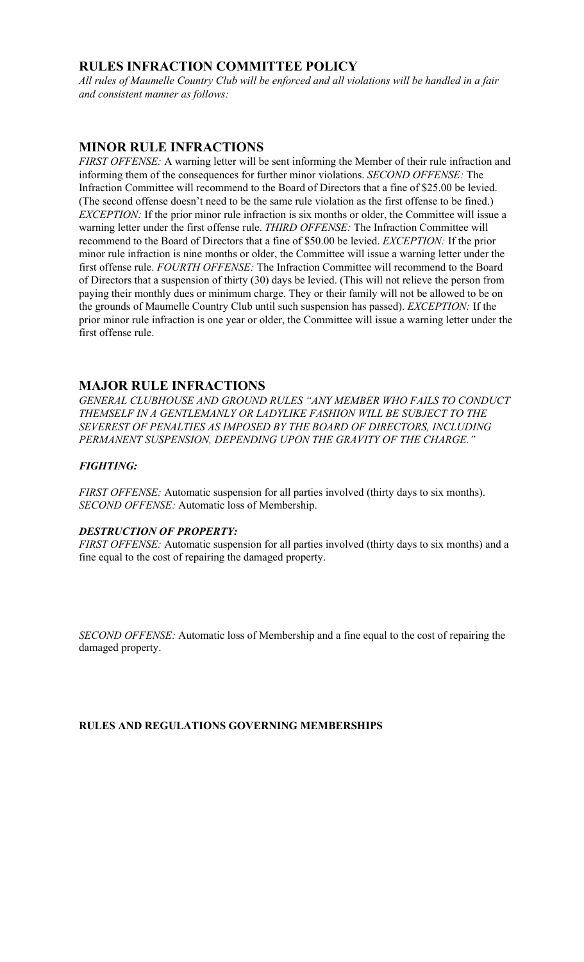## RULES INFRACTION COMMITTEE POLICY

All rules of Maumelle Country Club will be enforced and all violations will be handled in a fair and consistent manner as follows:

### MINOR RULE INFRACTIONS

FIRST OFFENSE: A warning letter will be sent informing the Member of their rule infraction and informing them of the consequences for further minor violations. SECOND OFFENSE: The Infraction Committee will recommend to the Board of Directors that a fine of \$25.00 be levied. (The second offense doesn't need to be the same rule violation as the first offense to be fined.) EXCEPTION: If the prior minor rule infraction is six months or older, the Committee will issue a warning letter under the first offense rule. THIRD OFFENSE: The Infraction Committee will recommend to the Board of Directors that a fine of \$50.00 be levied. EXCEPTION: If the prior minor rule infraction is nine months or older, the Committee will issue a warning letter under the first offense rule. FOURTH OFFENSE: The Infraction Committee will recommend to the Board of Directors that a suspension of thirty (30) days be levied. (This will not relieve the person from paying their monthly dues or minimum charge. They or their family will not be allowed to be on the grounds of Maumelle Country Club until such suspension has passed). EXCEPTION: If the prior minor rule infraction is one year or older, the Committee will issue a warning letter under the first offense rule.

### MAJOR RULE INFRACTIONS

GENERAL CLUBHOUSE AND GROUND RULES "ANY MEMBER WHO FAILS TO CONDUCT THEMSELF IN A GENTLEMANLY OR LADYLIKE FASHION WILL BE SUBJECT TO THE SEVEREST OF PENALTIES AS IMPOSED BY THE BOARD OF DIRECTORS, INCLUDING PERMANENT SUSPENSION, DEPENDING UPON THE GRAVITY OF THE CHARGE."

### FIGHTING:

FIRST OFFENSE: Automatic suspension for all parties involved (thirty days to six months). SECOND OFFENSE: Automatic loss of Membership.

### DESTRUCTION OF PROPERTY:

FIRST OFFENSE: Automatic suspension for all parties involved (thirty days to six months) and a fine equal to the cost of repairing the damaged property.

SECOND OFFENSE: Automatic loss of Membership and a fine equal to the cost of repairing the damaged property.

### RULES AND REGULATIONS GOVERNING MEMBERSHIPS